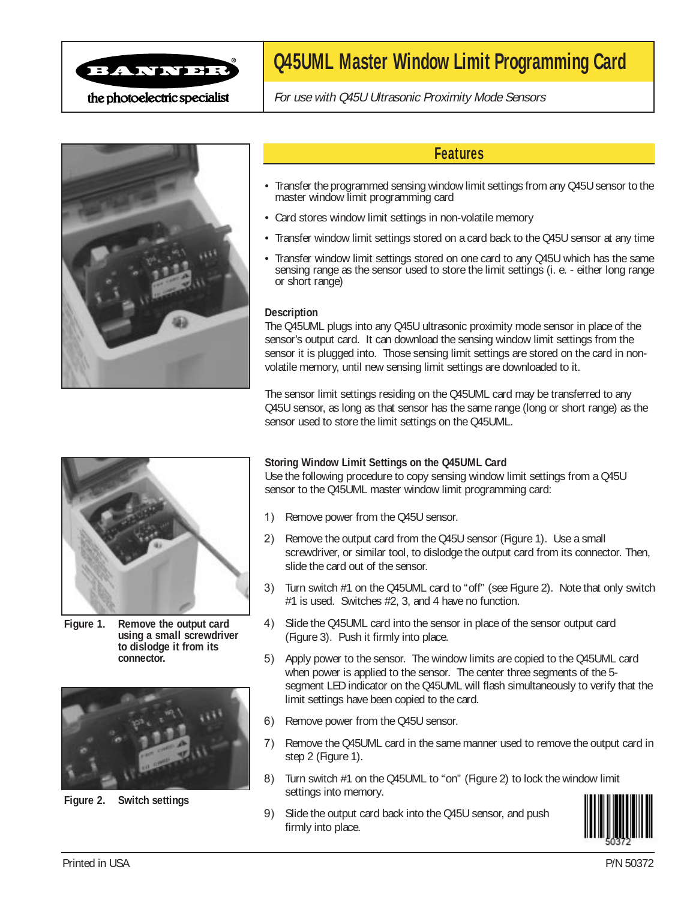

## **Q45UML Master Window Limit Programming Card**

the photoelectric specialist

For use with Q45U Ultrasonic Proximity Mode Sensors



## **Features**

- Transfer the programmed sensing window limit settings from any Q45U sensor to the master window limit programming card
- Card stores window limit settings in non-volatile memory
- Transfer window limit settings stored on a card back to the Q45U sensor at any time
- Transfer window limit settings stored on one card to any Q45U which has the same sensing range as the sensor used to store the limit settings (i. e. - either long range or short range)

## **Description**

The Q45UML plugs into any Q45U ultrasonic proximity mode sensor in place of the sensor's output card. It can download the sensing window limit settings from the sensor it is plugged into. Those sensing limit settings are stored on the card in nonvolatile memory, until new sensing limit settings are downloaded to it.

The sensor limit settings residing on the Q45UML card may be transferred to any Q45U sensor, as long as that sensor has the same range (long or short range) as the sensor used to store the limit settings on the Q45UML.



**Figure 1. Remove the output card using a small screwdriver to dislodge it from its connector.**



**Figure 2. Switch settings**

## **Storing Window Limit Settings on the Q45UML Card**

Use the following procedure to copy sensing window limit settings from a Q45U sensor to the Q45UML master window limit programming card:

- 1) Remove power from the Q45U sensor.
- 2) Remove the output card from the Q45U sensor (Figure 1). Use a small screwdriver, or similar tool, to dislodge the output card from its connector. Then, slide the card out of the sensor.
- 3) Turn switch #1 on the Q45UML card to "off" (see Figure 2). Note that only switch #1 is used. Switches #2, 3, and 4 have no function.
- 4) Slide the Q45UML card into the sensor in place of the sensor output card (Figure 3). Push it firmly into place.
- 5) Apply power to the sensor. The window limits are copied to the Q45UML card when power is applied to the sensor. The center three segments of the 5 segment LED indicator on the Q45UML will flash simultaneously to verify that the limit settings have been copied to the card.
- 6) Remove power from the Q45U sensor.
- 7) Remove the Q45UML card in the same manner used to remove the output card in step 2 (Figure 1).
- 8) Turn switch #1 on the Q45UML to "on" (Figure 2) to lock the window limit settings into memory.
- 9) Slide the output card back into the Q45U sensor, and push firmly into place.